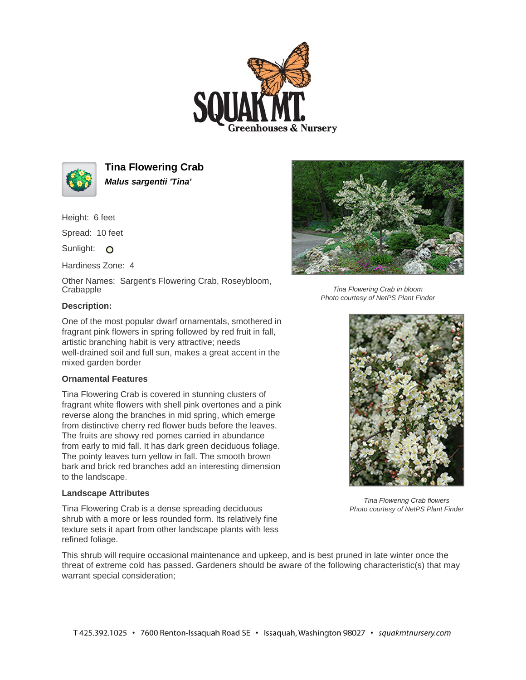



**Tina Flowering Crab Malus sargentii 'Tina'**

Height: 6 feet

Spread: 10 feet

Sunlight: O

Hardiness Zone: 4

Other Names: Sargent's Flowering Crab, Roseybloom, **Crabapple** 



Tina Flowering Crab in bloom Photo courtesy of NetPS Plant Finder

# **Description:**

One of the most popular dwarf ornamentals, smothered in fragrant pink flowers in spring followed by red fruit in fall, artistic branching habit is very attractive; needs well-drained soil and full sun, makes a great accent in the mixed garden border

### **Ornamental Features**

Tina Flowering Crab is covered in stunning clusters of fragrant white flowers with shell pink overtones and a pink reverse along the branches in mid spring, which emerge from distinctive cherry red flower buds before the leaves. The fruits are showy red pomes carried in abundance from early to mid fall. It has dark green deciduous foliage. The pointy leaves turn yellow in fall. The smooth brown bark and brick red branches add an interesting dimension to the landscape.

### **Landscape Attributes**

Tina Flowering Crab is a dense spreading deciduous shrub with a more or less rounded form. Its relatively fine texture sets it apart from other landscape plants with less refined foliage.

This shrub will require occasional maintenance and upkeep, and is best pruned in late winter once the threat of extreme cold has passed. Gardeners should be aware of the following characteristic(s) that may warrant special consideration;



Tina Flowering Crab flowers Photo courtesy of NetPS Plant Finder